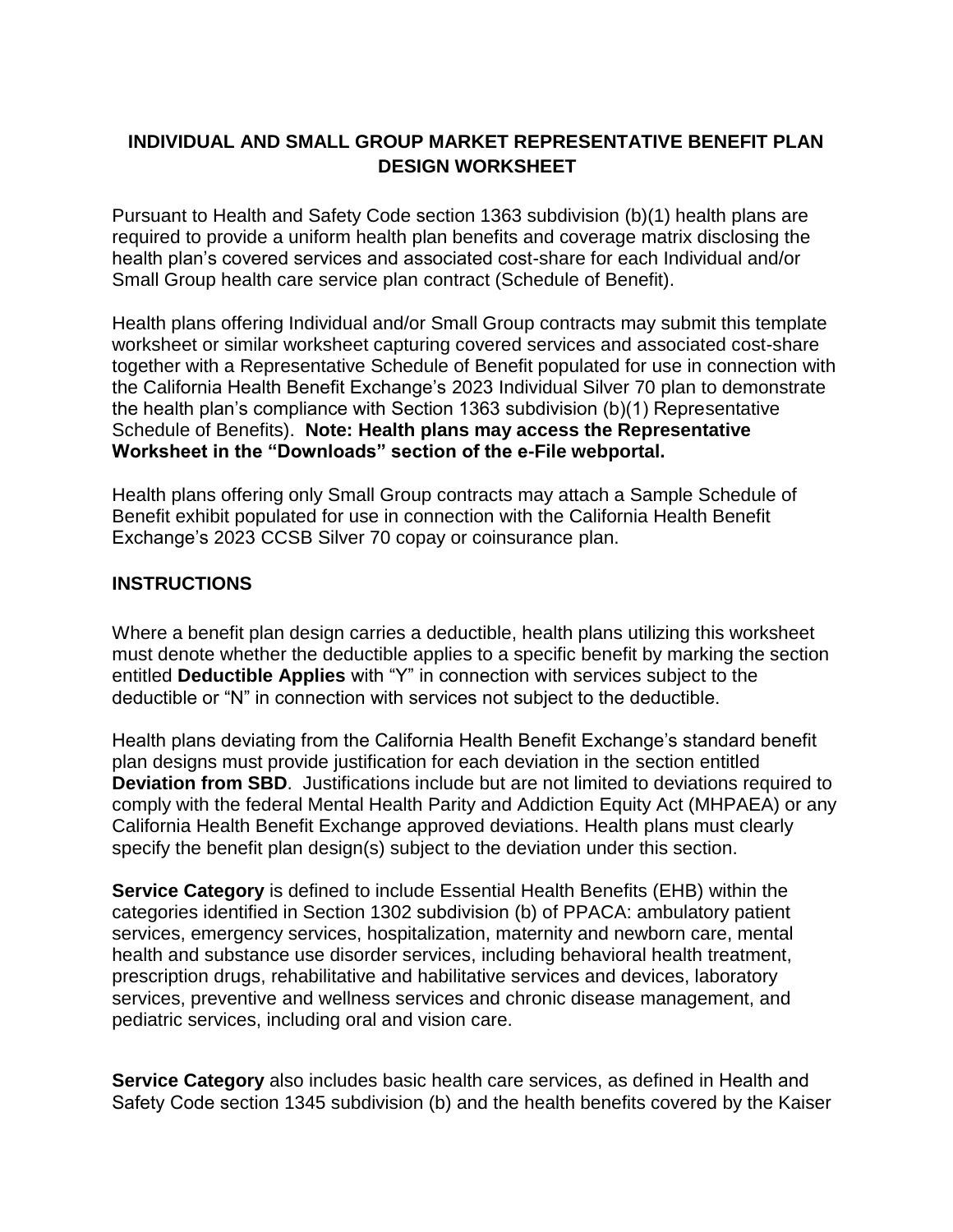## **INDIVIDUAL AND SMALL GROUP MARKET REPRESENTATIVE BENEFIT PLAN DESIGN WORKSHEET**

Pursuant to Health and Safety Code section 1363 subdivision (b)(1) health plans are required to provide a uniform health plan benefits and coverage matrix disclosing the health plan's covered services and associated cost-share for each Individual and/or Small Group health care service plan contract (Schedule of Benefit).

Health plans offering Individual and/or Small Group contracts may submit this template worksheet or similar worksheet capturing covered services and associated cost-share together with a Representative Schedule of Benefit populated for use in connection with the California Health Benefit Exchange's 2023 Individual Silver 70 plan to demonstrate the health plan's compliance with Section 1363 subdivision (b)(1) Representative Schedule of Benefits). **Note: Health plans may access the Representative Worksheet in the "Downloads" section of the e-File webportal.** 

Health plans offering only Small Group contracts may attach a Sample Schedule of Benefit exhibit populated for use in connection with the California Health Benefit Exchange's 2023 CCSB Silver 70 copay or coinsurance plan.

## **INSTRUCTIONS**

Where a benefit plan design carries a deductible, health plans utilizing this worksheet must denote whether the deductible applies to a specific benefit by marking the section entitled **Deductible Applies** with "Y" in connection with services subject to the deductible or "N" in connection with services not subject to the deductible.

Health plans deviating from the California Health Benefit Exchange's standard benefit plan designs must provide justification for each deviation in the section entitled **Deviation from SBD**. Justifications include but are not limited to deviations required to comply with the federal Mental Health Parity and Addiction Equity Act (MHPAEA) or any California Health Benefit Exchange approved deviations. Health plans must clearly specify the benefit plan design(s) subject to the deviation under this section.

**Service Category** is defined to include Essential Health Benefits (EHB) within the categories identified in Section 1302 subdivision (b) of PPACA: ambulatory patient services, emergency services, hospitalization, maternity and newborn care, mental health and substance use disorder services, including behavioral health treatment, prescription drugs, rehabilitative and habilitative services and devices, laboratory services, preventive and wellness services and chronic disease management, and pediatric services, including oral and vision care.

**Service Category** also includes basic health care services, as defined in Health and Safety Code section 1345 subdivision (b) and the health benefits covered by the Kaiser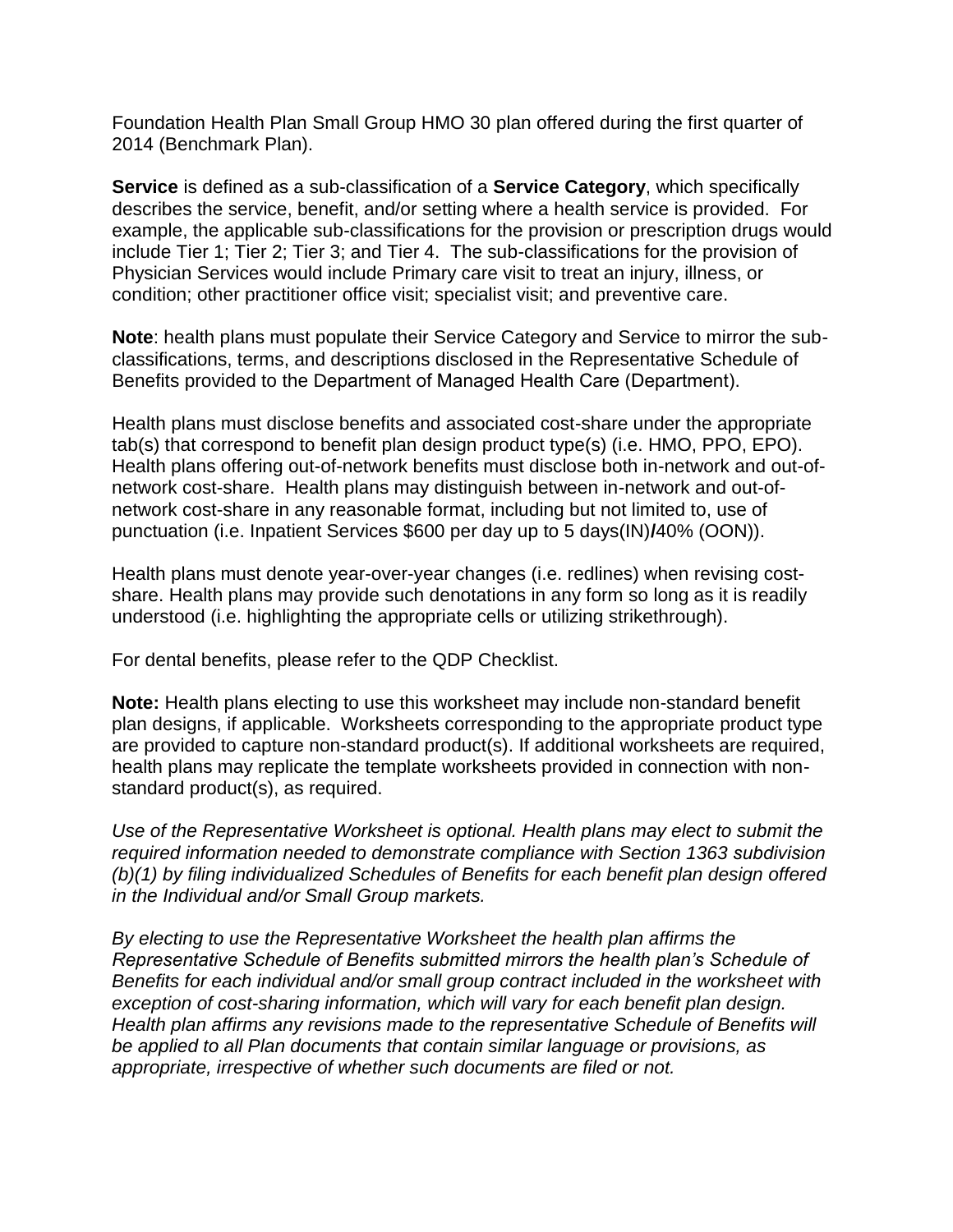Foundation Health Plan Small Group HMO 30 plan offered during the first quarter of 2014 (Benchmark Plan).

**Service** is defined as a sub-classification of a **Service Category**, which specifically describes the service, benefit, and/or setting where a health service is provided. For example, the applicable sub-classifications for the provision or prescription drugs would include Tier 1; Tier 2; Tier 3; and Tier 4. The sub-classifications for the provision of Physician Services would include Primary care visit to treat an injury, illness, or condition; other practitioner office visit; specialist visit; and preventive care.

**Note**: health plans must populate their Service Category and Service to mirror the subclassifications, terms, and descriptions disclosed in the Representative Schedule of Benefits provided to the Department of Managed Health Care (Department).

Health plans must disclose benefits and associated cost-share under the appropriate tab(s) that correspond to benefit plan design product type(s) (i.e. HMO, PPO, EPO). Health plans offering out-of-network benefits must disclose both in-network and out-ofnetwork cost-share. Health plans may distinguish between in-network and out-ofnetwork cost-share in any reasonable format, including but not limited to, use of punctuation (i.e. Inpatient Services \$600 per day up to 5 days(IN)**/**40% (OON)).

Health plans must denote year-over-year changes (i.e. redlines) when revising costshare. Health plans may provide such denotations in any form so long as it is readily understood (i.e. highlighting the appropriate cells or utilizing strikethrough).

For dental benefits, please refer to the QDP Checklist.

**Note:** Health plans electing to use this worksheet may include non-standard benefit plan designs, if applicable. Worksheets corresponding to the appropriate product type are provided to capture non-standard product(s). If additional worksheets are required, health plans may replicate the template worksheets provided in connection with nonstandard product(s), as required.

*Use of the Representative Worksheet is optional. Health plans may elect to submit the required information needed to demonstrate compliance with Section 1363 subdivision (b)(1) by filing individualized Schedules of Benefits for each benefit plan design offered in the Individual and/or Small Group markets.* 

*By electing to use the Representative Worksheet the health plan affirms the Representative Schedule of Benefits submitted mirrors the health plan's Schedule of Benefits for each individual and/or small group contract included in the worksheet with exception of cost-sharing information, which will vary for each benefit plan design. Health plan affirms any revisions made to the representative Schedule of Benefits will be applied to all Plan documents that contain similar language or provisions, as appropriate, irrespective of whether such documents are filed or not.*